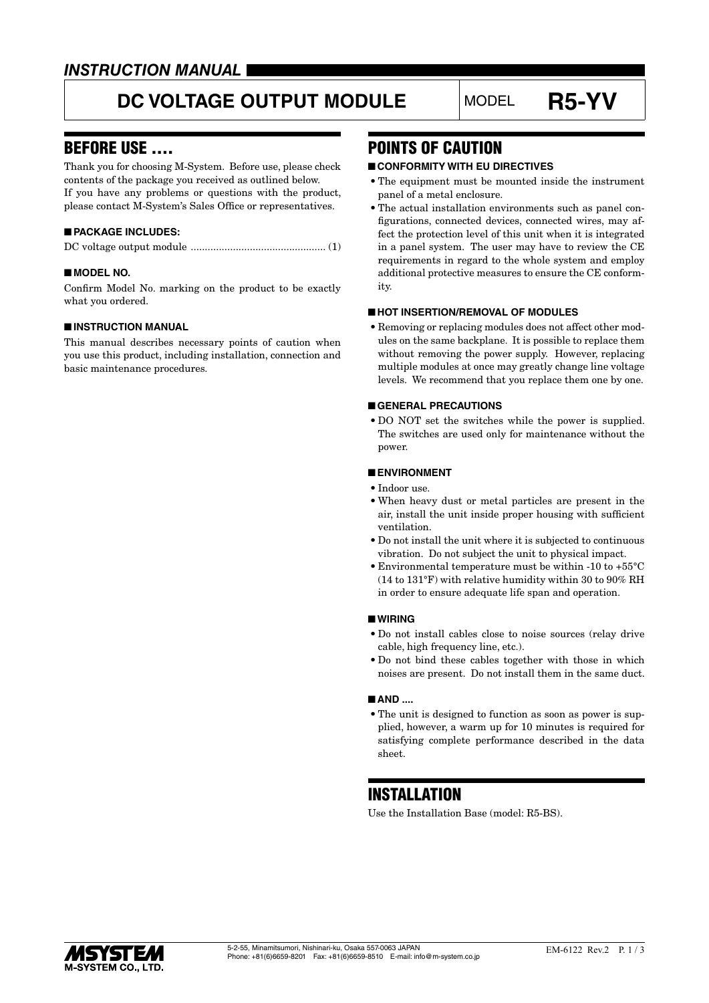### *INSTRUCTION MANUAL*

# **DC VOLTAGE OUTPUT MODULE** MODEL **R5-YV**

### BEFORE USE ....

Thank you for choosing M-System. Before use, please check contents of the package you received as outlined below. If you have any problems or questions with the product, please contact M-System's Sales Office or representatives.

### ■ **PACKAGE INCLUDES:**

|--|--|--|--|--|

### ■ **MODEL NO.**

Confirm Model No. marking on the product to be exactly what you ordered.

#### ■ **INSTRUCTION MANUAL**

This manual describes necessary points of caution when you use this product, including installation, connection and basic maintenance procedures.

### POINTS OF CAUTION

### ■ **CONFORMITY WITH EU DIRECTIVES**

- The equipment must be mounted inside the instrument panel of a metal enclosure.
- The actual installation environments such as panel configurations, connected devices, connected wires, may affect the protection level of this unit when it is integrated in a panel system. The user may have to review the CE requirements in regard to the whole system and employ additional protective measures to ensure the CE conformity.

### ■ **HOT INSERTION/REMOVAL OF MODULES**

• Removing or replacing modules does not affect other modules on the same backplane. It is possible to replace them without removing the power supply. However, replacing multiple modules at once may greatly change line voltage levels. We recommend that you replace them one by one.

#### ■ **GENERAL PRECAUTIONS**

• DO NOT set the switches while the power is supplied. The switches are used only for maintenance without the power.

#### ■ **ENVIRONMENT**

- Indoor use.
- When heavy dust or metal particles are present in the air, install the unit inside proper housing with sufficient ventilation.
- Do not install the unit where it is subjected to continuous vibration. Do not subject the unit to physical impact.
- Environmental temperature must be within -10 to +55°C (14 to 131°F) with relative humidity within 30 to 90% RH in order to ensure adequate life span and operation.

#### ■ **WIRING**

- Do not install cables close to noise sources (relay drive cable, high frequency line, etc.).
- Do not bind these cables together with those in which noises are present. Do not install them in the same duct.

#### ■ **AND** ....

• The unit is designed to function as soon as power is supplied, however, a warm up for 10 minutes is required for satisfying complete performance described in the data sheet.

### **INSTALLATION**

Use the Installation Base (model: R5-BS).

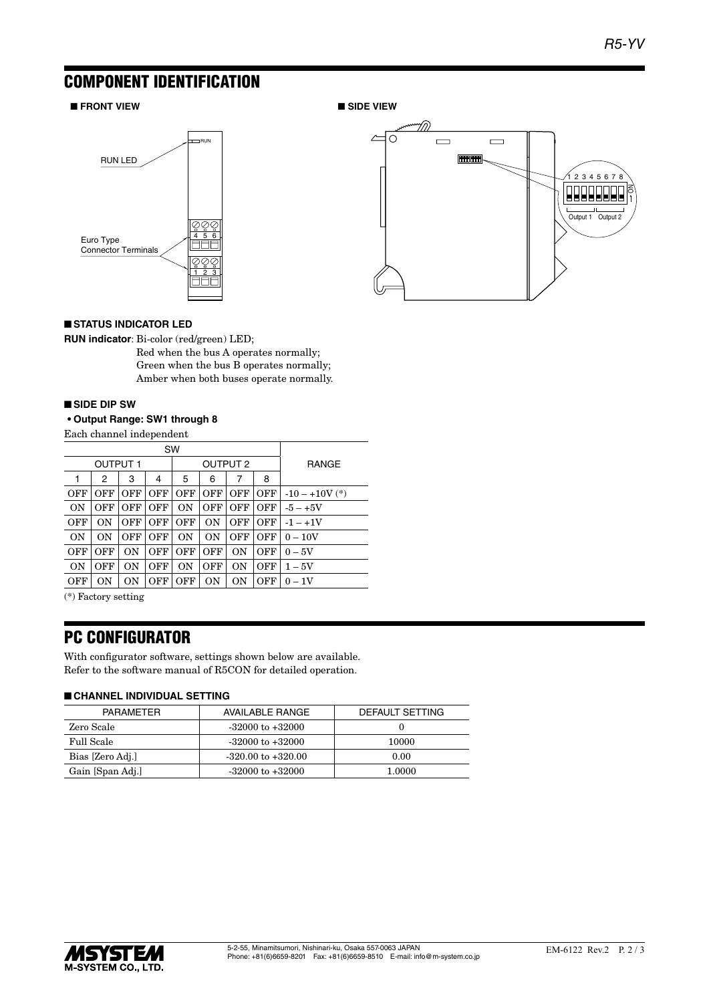## COMPONENT IDENTIFICATION

### ■ **FRONT VIEW** ■ **SIDE VIEW**





### ■ **STATUS INDICATOR LED**

**RUN indicator**: Bi-color (red/green) LED;

Red when the bus A operates normally; Green when the bus B operates normally; Amber when both buses operate normally.

#### ■ **SIDE DIP SW**

### **• Output Range: SW1 through 8**

Each channel independent

| SW        |                 |            |            |                 |            |                |              |                  |
|-----------|-----------------|------------|------------|-----------------|------------|----------------|--------------|------------------|
|           | <b>OUTPUT 1</b> |            |            | <b>OUTPUT 2</b> |            |                | <b>RANGE</b> |                  |
|           | 2               | 3          | 4          | 5               | 6          | 7              | 8            |                  |
| OFF       | OFF             | <b>OFF</b> | <b>OFF</b> | OFF             | OFF        | OFF            | OFF          | $-10 - +10V$ (*) |
| <b>ON</b> | OFF             | OFF        | OFF        | <b>ON</b>       | OFF        | OFF            | OFF          | $-5 - +5V$       |
| OFF       | 0N              | OFF        | OFF        | <b>OFF</b>      | 0N         | OFF            | OFF          | $-1 - +1V$       |
| <b>ON</b> | 0 <sub>N</sub>  | OFF        | OFF        | <b>ON</b>       | 0N         | OFF            | OFF          | $0 - 10V$        |
| OFF       | OFF             | 0N         | <b>OFF</b> | <b>OFF</b>      | <b>OFF</b> | 0 <sub>N</sub> | OFF          | $0-5V$           |
| ON        | OFF             | 0N         | <b>OFF</b> | 0 <sub>N</sub>  | <b>OFF</b> | 0N             | <b>OFF</b>   | $1-5V$           |
| OFF       | ON              | ON         | OFF        | OFF             | ON         | ON             | <b>OFF</b>   | $0-1V$           |
|           |                 |            |            |                 |            |                |              |                  |

(\*) Factory setting

### PC CONFIGURATOR

With configurator software, settings shown below are available. Refer to the software manual of R5CON for detailed operation.

#### ■ **CHANNEL INDIVIDUAL SETTING**

| PARAMETER        | AVAILABLE RANGE        | DEFAULT SETTING |  |  |  |  |
|------------------|------------------------|-----------------|--|--|--|--|
| Zero Scale       | $-32000$ to $+32000$   |                 |  |  |  |  |
| Full Scale       | $-32000$ to $+32000$   | 10000           |  |  |  |  |
| Bias [Zero Adj.] | $-320.00$ to $+320.00$ | 0.00            |  |  |  |  |
| Gain [Span Adj.] | $-32000$ to $+32000$   | 1.0000          |  |  |  |  |
|                  |                        |                 |  |  |  |  |